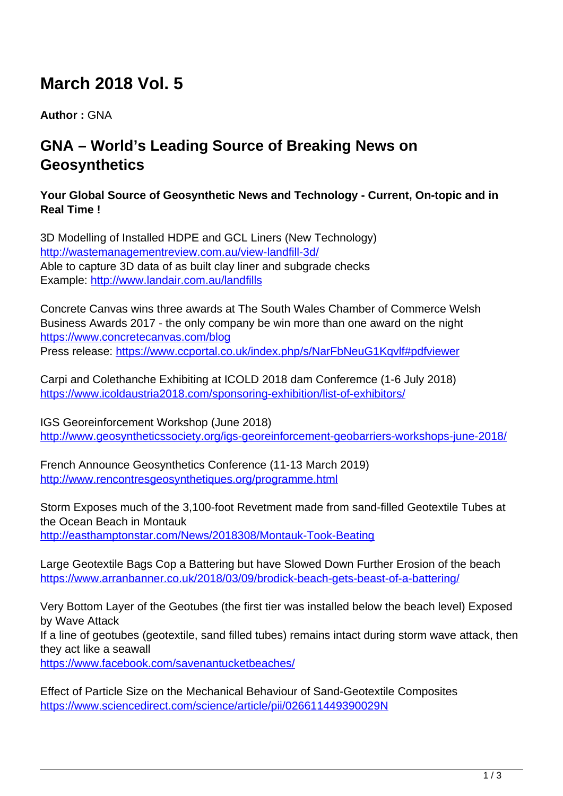# **March 2018 Vol. 5**

**Author :** GNA

## **GNA – World's Leading Source of Breaking News on Geosynthetics**

#### **Your Global Source of Geosynthetic News and Technology - Current, On-topic and in Real Time !**

3D Modelling of Installed HDPE and GCL Liners (New Technology) <http://wastemanagementreview.com.au/view-landfill-3d/> Able to capture 3D data of as built clay liner and subgrade checks Example: <http://www.landair.com.au/landfills>

Concrete Canvas wins three awards at The South Wales Chamber of Commerce Welsh Business Awards 2017 - the only company be win more than one award on the night <https://www.concretecanvas.com/blog> Press release: <https://www.ccportal.co.uk/index.php/s/NarFbNeuG1Kqvlf#pdfviewer>

Carpi and Colethanche Exhibiting at ICOLD 2018 dam Conferemce (1-6 July 2018) <https://www.icoldaustria2018.com/sponsoring-exhibition/list-of-exhibitors/>

IGS Georeinforcement Workshop (June 2018) <http://www.geosyntheticssociety.org/igs-georeinforcement-geobarriers-workshops-june-2018/>

French Announce Geosynthetics Conference (11-13 March 2019) <http://www.rencontresgeosynthetiques.org/programme.html>

Storm Exposes much of the 3,100-foot Revetment made from sand-filled Geotextile Tubes at the Ocean Beach in Montauk <http://easthamptonstar.com/News/2018308/Montauk-Took-Beating>

Large Geotextile Bags Cop a Battering but have Slowed Down Further Erosion of the beach <https://www.arranbanner.co.uk/2018/03/09/brodick-beach-gets-beast-of-a-battering/>

Very Bottom Layer of the Geotubes (the first tier was installed below the beach level) Exposed by Wave Attack

If a line of geotubes (geotextile, sand filled tubes) remains intact during storm wave attack, then they act like a seawall

<https://www.facebook.com/savenantucketbeaches/>

Effect of Particle Size on the Mechanical Behaviour of Sand-Geotextile Composites <https://www.sciencedirect.com/science/article/pii/026611449390029N>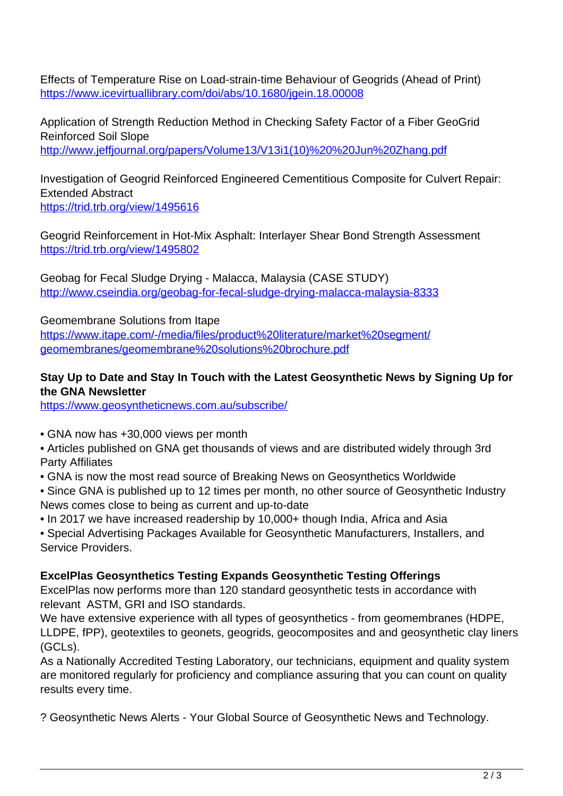Effects of Temperature Rise on Load-strain-time Behaviour of Geogrids (Ahead of Print) <https://www.icevirtuallibrary.com/doi/abs/10.1680/jgein.18.00008>

Application of Strength Reduction Method in Checking Safety Factor of a Fiber GeoGrid Reinforced Soil Slope [http://www.jeffjournal.org/papers/Volume13/V13i1\(10\)%20%20Jun%20Zhang.pdf](http://www.jeffjournal.org/papers/Volume13/V13i1(10)%20%20Jun%20Zhang.pdf)

Investigation of Geogrid Reinforced Engineered Cementitious Composite for Culvert Repair: Extended Abstract <https://trid.trb.org/view/1495616>

Geogrid Reinforcement in Hot-Mix Asphalt: Interlayer Shear Bond Strength Assessment <https://trid.trb.org/view/1495802>

Geobag for Fecal Sludge Drying - Malacca, Malaysia (CASE STUDY) <http://www.cseindia.org/geobag-for-fecal-sludge-drying-malacca-malaysia-8333>

Geomembrane Solutions from Itape

[https://www.itape.com/-/media/files/product%20literature/market%20segment/](https://www.itape.com/-/media/files/product%20literature/market%20segment/geomembranes/geomembrane%20solutions%20brochure.pdf) [geomembranes/geomembrane%20solutions%20brochure.pdf](https://www.itape.com/-/media/files/product%20literature/market%20segment/geomembranes/geomembrane%20solutions%20brochure.pdf)

#### **Stay Up to Date and Stay In Touch with the Latest Geosynthetic News by Signing Up for the GNA Newsletter**

<https://www.geosyntheticnews.com.au/subscribe/>

• GNA now has +30,000 views per month

• Articles published on GNA get thousands of views and are distributed widely through 3rd Party Affiliates

- GNA is now the most read source of Breaking News on Geosynthetics Worldwide
- Since GNA is published up to 12 times per month, no other source of Geosynthetic Industry News comes close to being as current and up-to-date
- In 2017 we have increased readership by 10,000+ though India, Africa and Asia
- Special Advertising Packages Available for Geosynthetic Manufacturers, Installers, and Service Providers.

#### **ExcelPlas Geosynthetics Testing Expands Geosynthetic Testing Offerings**

ExcelPlas now performs more than 120 standard geosynthetic tests in accordance with relevant ASTM, GRI and ISO standards.

We have extensive experience with all types of geosynthetics - from geomembranes (HDPE, LLDPE, fPP), geotextiles to geonets, geogrids, geocomposites and and geosynthetic clay liners (GCLs).

As a Nationally Accredited Testing Laboratory, our technicians, equipment and quality system are monitored regularly for proficiency and compliance assuring that you can count on quality results every time.

? Geosynthetic News Alerts - Your Global Source of Geosynthetic News and Technology.